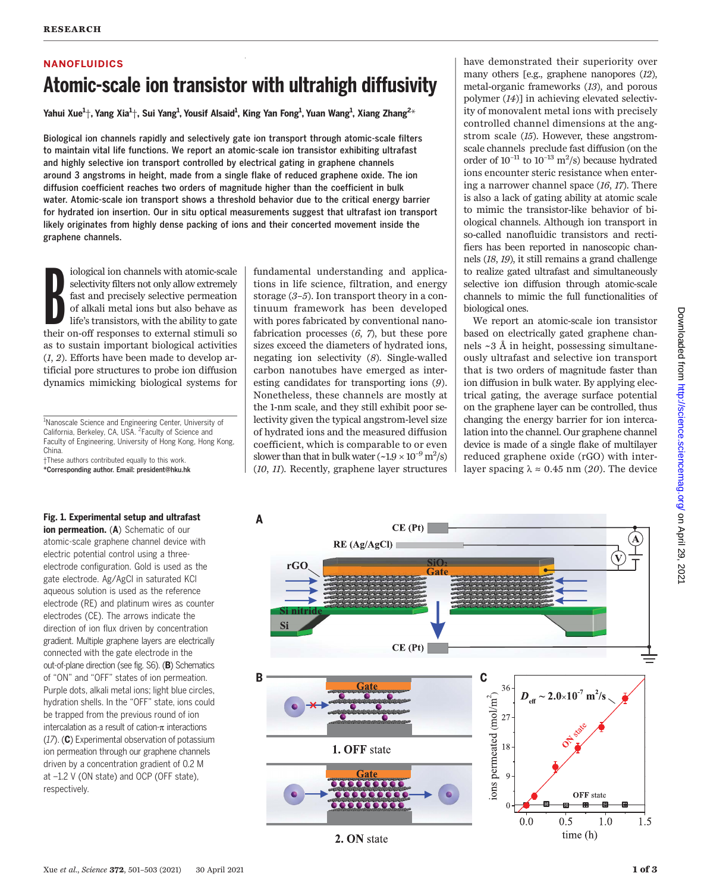# NANOFLUIDICS Atomic-scale ion transistor with ultrahigh diffusivity

Yahui Xue $^1$ †, Yang Xia $^1$ †, Sui Yang $^1$ , Yousif Alsaid $^1$ , King Yan Fong $^1$ , Yuan Wang $^1$ , Xiang Zhang $^{2*}$ 

Biological ion channels rapidly and selectively gate ion transport through atomic-scale filters to maintain vital life functions. We report an atomic-scale ion transistor exhibiting ultrafast and highly selective ion transport controlled by electrical gating in graphene channels around 3 angstroms in height, made from a single flake of reduced graphene oxide. The ion diffusion coefficient reaches two orders of magnitude higher than the coefficient in bulk water. Atomic-scale ion transport shows a threshold behavior due to the critical energy barrier for hydrated ion insertion. Our in situ optical measurements suggest that ultrafast ion transport likely originates from highly dense packing of ions and their concerted movement inside the graphene channels.

iological ion channels with atomic-scale selectivity filters not only allow extremely fast and precisely selective permeation of alkali metal ions but also behave as life's transistors, with the ability to gate their on-of iological ion channels with atomic-scale selectivity filters not only allow extremely fast and precisely selective permeation of alkali metal ions but also behave as life's transistors, with the ability to gate as to sustain important biological activities (1, 2). Efforts have been made to develop artificial pore structures to probe ion diffusion dynamics mimicking biological systems for

<sup>1</sup>Nanoscale Science and Engineering Center, University of California, Berkeley, CA, USA. <sup>2</sup> Faculty of Science and Faculty of Engineering, University of Hong Kong, Hong Kong, China.

†These authors contributed equally to this work. \*Corresponding author. Email: president@hku.hk

# Fig. 1. Experimental setup and ultrafast

ion permeation. (A) Schematic of our atomic-scale graphene channel device with electric potential control using a threeelectrode configuration. Gold is used as the gate electrode. Ag/AgCl in saturated KCl aqueous solution is used as the reference electrode (RE) and platinum wires as counter electrodes (CE). The arrows indicate the direction of ion flux driven by concentration gradient. Multiple graphene layers are electrically connected with the gate electrode in the out-of-plane direction (see fig. S6). (B) Schematics of "ON" and "OFF" states of ion permeation. Purple dots, alkali metal ions; light blue circles, hydration shells. In the "OFF" state, ions could be trapped from the previous round of ion intercalation as a result of cation- $\pi$  interactions (17). (C) Experimental observation of potassium ion permeation through our graphene channels driven by a concentration gradient of 0.2 M at –1.2 V (ON state) and OCP (OFF state), respectively.

fundamental understanding and applications in life science, filtration, and energy storage  $(3-5)$ . Ion transport theory in a continuum framework has been developed with pores fabricated by conventional nanofabrication processes (6, 7), but these pore sizes exceed the diameters of hydrated ions, negating ion selectivity (8). Single-walled carbon nanotubes have emerged as interesting candidates for transporting ions (9). Nonetheless, these channels are mostly at the 1-nm scale, and they still exhibit poor selectivity given the typical angstrom-level size of hydrated ions and the measured diffusion coefficient, which is comparable to or even slower than that in bulk water  $(-1.9 \times 10^{-9} \text{ m}^2/\text{s})$ (10, 11). Recently, graphene layer structures have demonstrated their superiority over many others [e.g., graphene nanopores (12), metal-organic frameworks (13), and porous polymer (14)] in achieving elevated selectivity of monovalent metal ions with precisely controlled channel dimensions at the angstrom scale (15). However, these angstromscale channels preclude fast diffusion (on the order of  $10^{-11}$  to  $10^{-13}$  m<sup>2</sup>/s) because hydrated ions encounter steric resistance when entering a narrower channel space  $(16, 17)$ . There is also a lack of gating ability at atomic scale to mimic the transistor-like behavior of biological channels. Although ion transport in so-called nanofluidic transistors and rectifiers has been reported in nanoscopic channels (18, 19), it still remains a grand challenge to realize gated ultrafast and simultaneously selective ion diffusion through atomic-scale channels to mimic the full functionalities of biological ones.

We report an atomic-scale ion transistor based on electrically gated graphene channels ~3 Å in height, possessing simultaneously ultrafast and selective ion transport that is two orders of magnitude faster than ion diffusion in bulk water. By applying electrical gating, the average surface potential on the graphene layer can be controlled, thus changing the energy barrier for ion intercalation into the channel. Our graphene channel device is made of a single flake of multilayer reduced graphene oxide (rGO) with interlayer spacing  $\lambda \approx 0.45$  nm (20). The device on April 29, 2021 <http://science.sciencemag.org/> Downloaded from



# 2. ON state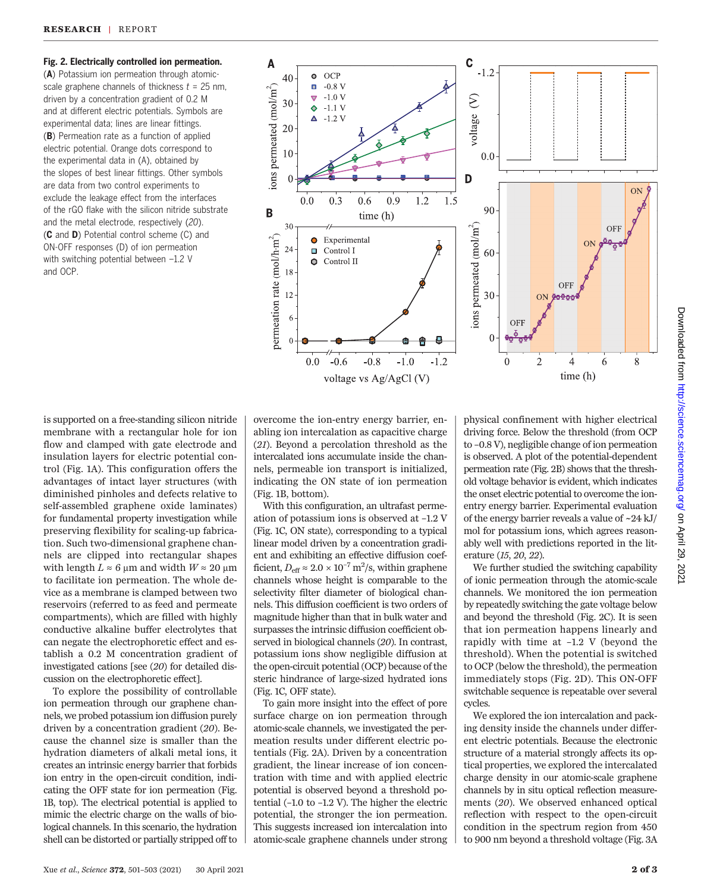Fig. 2. Electrically controlled ion permeation.

(A) Potassium ion permeation through atomicscale graphene channels of thickness  $t = 25$  nm, driven by a concentration gradient of 0.2 M and at different electric potentials. Symbols are experimental data; lines are linear fittings. (B) Permeation rate as a function of applied electric potential. Orange dots correspond to the experimental data in (A), obtained by the slopes of best linear fittings. Other symbols are data from two control experiments to exclude the leakage effect from the interfaces of the rGO flake with the silicon nitride substrate and the metal electrode, respectively (20). (C and D) Potential control scheme (C) and ON-OFF responses (D) of ion permeation with switching potential between –1.2 V and OCP.



is supported on a free-standing silicon nitride membrane with a rectangular hole for ion flow and clamped with gate electrode and insulation layers for electric potential control (Fig. 1A). This configuration offers the advantages of intact layer structures (with diminished pinholes and defects relative to self-assembled graphene oxide laminates) for fundamental property investigation while preserving flexibility for scaling-up fabrication. Such two-dimensional graphene channels are clipped into rectangular shapes with length  $L \approx 6 \mu m$  and width  $W \approx 20 \mu m$ to facilitate ion permeation. The whole device as a membrane is clamped between two reservoirs (referred to as feed and permeate compartments), which are filled with highly conductive alkaline buffer electrolytes that can negate the electrophoretic effect and establish a 0.2 M concentration gradient of investigated cations [see (20) for detailed discussion on the electrophoretic effect].

To explore the possibility of controllable ion permeation through our graphene channels, we probed potassium ion diffusion purely driven by a concentration gradient (20). Because the channel size is smaller than the hydration diameters of alkali metal ions, it creates an intrinsic energy barrier that forbids ion entry in the open-circuit condition, indicating the OFF state for ion permeation (Fig. 1B, top). The electrical potential is applied to mimic the electric charge on the walls of biological channels. In this scenario, the hydration shell can be distorted or partially stripped off to

overcome the ion-entry energy barrier, enabling ion intercalation as capacitive charge (21). Beyond a percolation threshold as the intercalated ions accumulate inside the channels, permeable ion transport is initialized, indicating the ON state of ion permeation (Fig. 1B, bottom).

With this configuration, an ultrafast permeation of potassium ions is observed at –1.2 V (Fig. 1C, ON state), corresponding to a typical linear model driven by a concentration gradient and exhibiting an effective diffusion coefficient,  $D_{\text{eff}} \approx 2.0 \times 10^{-7} \text{ m}^2/\text{s}$ , within graphene channels whose height is comparable to the selectivity filter diameter of biological channels. This diffusion coefficient is two orders of magnitude higher than that in bulk water and surpasses the intrinsic diffusion coefficient observed in biological channels (20). In contrast, potassium ions show negligible diffusion at the open-circuit potential (OCP) because of the steric hindrance of large-sized hydrated ions (Fig. 1C, OFF state).

To gain more insight into the effect of pore surface charge on ion permeation through atomic-scale channels, we investigated the permeation results under different electric potentials (Fig. 2A). Driven by a concentration gradient, the linear increase of ion concentration with time and with applied electric potential is observed beyond a threshold potential (–1.0 to –1.2 V). The higher the electric potential, the stronger the ion permeation. This suggests increased ion intercalation into atomic-scale graphene channels under strong physical confinement with higher electrical driving force. Below the threshold (from OCP to –0.8 V), negligible change of ion permeation is observed. A plot of the potential-dependent permeation rate (Fig. 2B) shows that the threshold voltage behavior is evident, which indicates the onset electric potential to overcome the ionentry energy barrier. Experimental evaluation of the energy barrier reveals a value of ~24 kJ/ mol for potassium ions, which agrees reasonably well with predictions reported in the literature (15, 20, 22).

We further studied the switching capability of ionic permeation through the atomic-scale channels. We monitored the ion permeation by repeatedly switching the gate voltage below and beyond the threshold (Fig. 2C). It is seen that ion permeation happens linearly and rapidly with time at –1.2 V (beyond the threshold). When the potential is switched to OCP (below the threshold), the permeation immediately stops (Fig. 2D). This ON-OFF switchable sequence is repeatable over several cycles.

We explored the ion intercalation and packing density inside the channels under different electric potentials. Because the electronic structure of a material strongly affects its optical properties, we explored the intercalated charge density in our atomic-scale graphene channels by in situ optical reflection measurements (20). We observed enhanced optical reflection with respect to the open-circuit condition in the spectrum region from 450 to 900 nm beyond a threshold voltage (Fig. 3A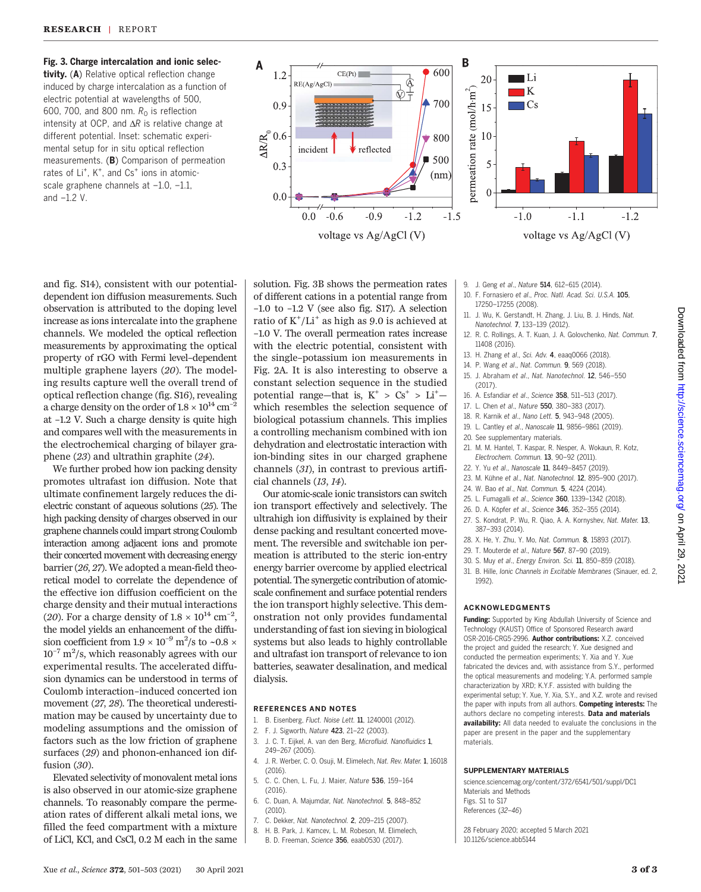Fig. 3. Charge intercalation and ionic selectivity. (A) Relative optical reflection change induced by charge intercalation as a function of electric potential at wavelengths of 500, 600, 700, and 800 nm.  $R_0$  is reflection

intensity at OCP, and  $\Delta R$  is relative change at different potential. Inset: schematic experimental setup for in situ optical reflection measurements. (B) Comparison of permeation rates of Li<sup>+</sup>, K<sup>+</sup>, and Cs<sup>+</sup> ions in atomicscale graphene channels at –1.0, –1.1, and –1.2 V.

and fig. S14), consistent with our potentialdependent ion diffusion measurements. Such observation is attributed to the doping level increase as ions intercalate into the graphene channels. We modeled the optical reflection measurements by approximating the optical property of rGO with Fermi level–dependent multiple graphene layers (20). The modeling results capture well the overall trend of optical reflection change (fig. S16), revealing a charge density on the order of  $1.8 \times 10^{14}$  cm<sup>-2</sup> at –1.2 V. Such a charge density is quite high and compares well with the measurements in the electrochemical charging of bilayer graphene (23) and ultrathin graphite (24).

We further probed how ion packing density promotes ultrafast ion diffusion. Note that ultimate confinement largely reduces the dielectric constant of aqueous solutions (25). The high packing density of charges observed in our graphene channels could impart strong Coulomb interaction among adjacent ions and promote their concerted movement with decreasing energy barrier (26, 27). We adopted a mean-field theoretical model to correlate the dependence of the effective ion diffusion coefficient on the charge density and their mutual interactions (20). For a charge density of  $1.8 \times 10^{14}$  cm<sup>-2</sup>, the model yields an enhancement of the diffusion coefficient from 1.9  $\times$  10<sup>-9</sup> m<sup>2</sup>/s to ~0.8  $\times$  $10^{-7}$  m<sup>2</sup>/s, which reasonably agrees with our experimental results. The accelerated diffusion dynamics can be understood in terms of Coulomb interaction–induced concerted ion movement (27, 28). The theoretical underestimation may be caused by uncertainty due to modeling assumptions and the omission of factors such as the low friction of graphene surfaces (29) and phonon-enhanced ion diffusion (30).

Elevated selectivity of monovalent metal ions is also observed in our atomic-size graphene channels. To reasonably compare the permeation rates of different alkali metal ions, we filled the feed compartment with a mixture of LiCl, KCl, and CsCl, 0.2 M each in the same



solution. Fig. 3B shows the permeation rates of different cations in a potential range from –1.0 to –1.2 V (see also fig. S17). A selection ratio of  $K^+/Li^+$  as high as 9.0 is achieved at –1.0 V. The overall permeation rates increase with the electric potential, consistent with the single–potassium ion measurements in Fig. 2A. It is also interesting to observe a constant selection sequence in the studied potential range—that is,  $K^+ > Cs^+ > Li^+$ which resembles the selection sequence of biological potassium channels. This implies a controlling mechanism combined with ion dehydration and electrostatic interaction with ion-binding sites in our charged graphene channels (31), in contrast to previous artificial channels (13, 14).

Our atomic-scale ionic transistors can switch ion transport effectively and selectively. The ultrahigh ion diffusivity is explained by their dense packing and resultant concerted movement. The reversible and switchable ion permeation is attributed to the steric ion-entry energy barrier overcome by applied electrical potential. The synergetic contribution of atomicscale confinement and surface potential renders the ion transport highly selective. This demonstration not only provides fundamental understanding of fast ion sieving in biological systems but also leads to highly controllable and ultrafast ion transport of relevance to ion batteries, seawater desalination, and medical dialysis.

#### REFERENCES AND NOTES

- 1. B. Eisenberg, Fluct. Noise Lett. 11, 1240001 (2012).
- 2. F. J. Sigworth, Nature 423, 21–22 (2003).
- 3. J. C. T. Eijkel, A. van den Berg, Microfluid. Nanofluidics 1, 249–267 (2005).
- 4. J. R. Werber, C. O. Osuji, M. Elimelech, Nat. Rev. Mater. 1, 16018 (2016).
- 5. C. C. Chen, L. Fu, J. Maier, Nature 536, 159–164 (2016).
- 6. C. Duan, A. Majumdar, Nat. Nanotechnol. 5, 848–852 (2010).
- 7. C. Dekker, Nat. Nanotechnol. 2, 209–215 (2007).
- 8. H. B. Park, J. Kamcev, L. M. Robeson, M. Elimelech,
- B. D. Freeman, Science 356, eaab0530 (2017).
- 9. J. Geng et al., Nature 514, 612-615 (2014).
- 10. F. Fornasiero et al., Proc. Natl. Acad. Sci. U.S.A. 105, 17250–17255 (2008).
- 11. J. Wu, K. Gerstandt, H. Zhang, J. Liu, B. J. Hinds, Nat. Nanotechnol. 7, 133–139 (2012).
- 12. R. C. Rollings, A. T. Kuan, J. A. Golovchenko, Nat. Commun. 7, 11408 (2016).
- 13. H. Zhang et al., Sci. Adv. 4, eaaq0066 (2018).
- 14. P. Wang et al., Nat. Commun. 9, 569 (2018).
- 15. J. Abraham et al., Nat. Nanotechnol. 12, 546–550 (2017).
- 16. A. Esfandiar et al., Science 358, 511–513 (2017).
- 17. L. Chen et al., Nature 550, 380-383 (2017).
- 18. R. Karnik et al., Nano Lett. 5, 943–948 (2005).
- 19. L. Cantley et al., Nanoscale 11, 9856–9861 (2019).
- 20. See supplementary materials.
- 21. M. M. Hantel, T. Kaspar, R. Nesper, A. Wokaun, R. Kotz, Electrochem. Commun. 13, 90–92 (2011).
- 22. Y. Yu et al., Nanoscale 11, 8449–8457 (2019).
- 23. M. Kühne et al., Nat. Nanotechnol. 12, 895–900 (2017). 24. W. Bao et al., Nat. Commun. 5, 4224 (2014).
- 25. L. Fumagalli et al., Science 360, 1339–1342 (2018).
- 26. D. A. Köpfer et al., Science 346, 352–355 (2014).
- 27. S. Kondrat, P. Wu, R. Qiao, A. A. Kornyshev, Nat. Mater. 13, 387–393 (2014).
- 28. X. He, Y. Zhu, Y. Mo, Nat. Commun. 8, 15893 (2017).
- 29. T. Mouterde et al., Nature 567, 87–90 (2019).
- 30. S. Muy et al., Energy Environ. Sci. 11, 850–859 (2018).
- 31. B. Hille, Ionic Channels in Excitable Membranes (Sinauer, ed. 2, 1992).

## ACKNOWLEDGMENTS

Funding: Supported by King Abdullah University of Science and Technology (KAUST) Office of Sponsored Research award OSR-2016-CRG5-2996. Author contributions: X.Z. conceived the project and guided the research; Y. Xue designed and conducted the permeation experiments; Y. Xia and Y. Xue fabricated the devices and, with assistance from S.Y., performed the optical measurements and modeling; Y.A. performed sample characterization by XRD; K.Y.F. assisted with building the experimental setup; Y. Xue, Y. Xia, S.Y., and X.Z. wrote and revised the paper with inputs from all authors. Competing interests: The authors declare no competing interests. Data and materials availability: All data needed to evaluate the conclusions in the paper are present in the paper and the supplementary materials.

#### SUPPLEMENTARY MATERIALS

[science.sciencemag.org/content/372/6541/501/suppl/DC1](https://science.sciencemag.org/content/372/6541/501/suppl/DC1) Materials and Methods Figs. S1 to S17 References (32–46)

28 February 2020; accepted 5 March 2021 10.1126/science.abb5144

on April 29, 2021 <http://science.sciencemag.org/> Downloaded from

Downloaded from http://science.sciencemag.org/ on April 29, 202